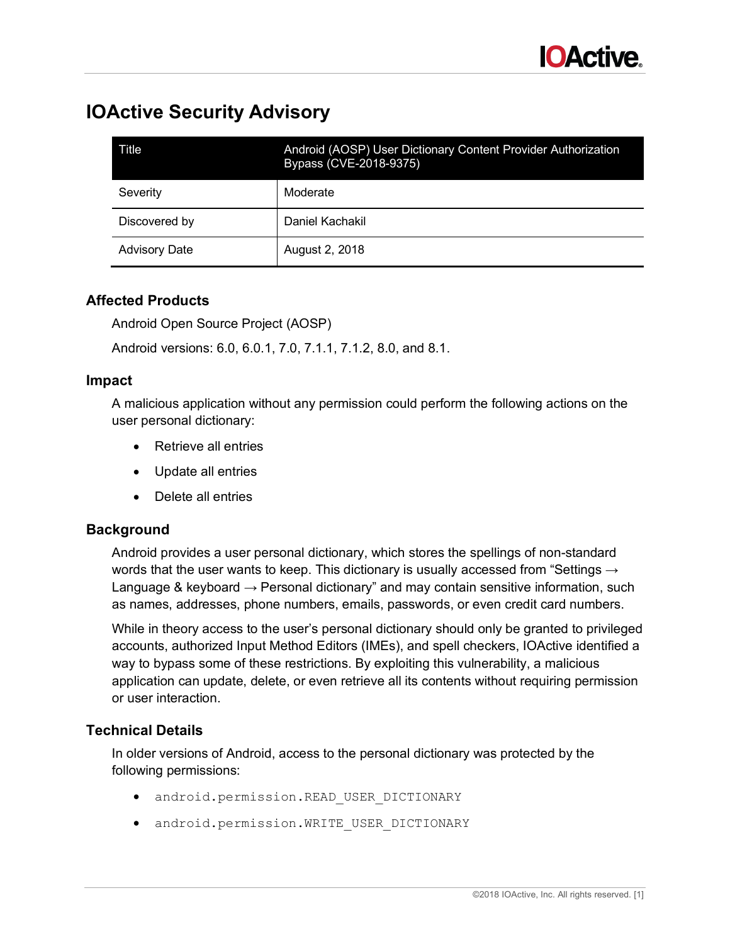

# **IOActive Security Advisory**

| Title                | Android (AOSP) User Dictionary Content Provider Authorization<br>Bypass (CVE-2018-9375) |
|----------------------|-----------------------------------------------------------------------------------------|
| Severity             | Moderate                                                                                |
| Discovered by        | Daniel Kachakil                                                                         |
| <b>Advisory Date</b> | August 2, 2018                                                                          |

## **Affected Products**

Android Open Source Project (AOSP)

Android versions: 6.0, 6.0.1, 7.0, 7.1.1, 7.1.2, 8.0, and 8.1.

#### **Impact**

A malicious application without any permission could perform the following actions on the user personal dictionary:

- Retrieve all entries
- Update all entries
- Delete all entries

#### **Background**

Android provides a user personal dictionary, which stores the spellings of non-standard words that the user wants to keep. This dictionary is usually accessed from "Settings  $\rightarrow$ Language & keyboard  $\rightarrow$  Personal dictionary" and may contain sensitive information, such as names, addresses, phone numbers, emails, passwords, or even credit card numbers.

While in theory access to the user's personal dictionary should only be granted to privileged accounts, authorized Input Method Editors (IMEs), and spell checkers, IOActive identified a way to bypass some of these restrictions. By exploiting this vulnerability, a malicious application can update, delete, or even retrieve all its contents without requiring permission or user interaction.

#### **Technical Details**

In older versions of Android, access to the personal dictionary was protected by the following permissions:

- android.permission.READ\_USER\_DICTIONARY
- android.permission.WRITE USER DICTIONARY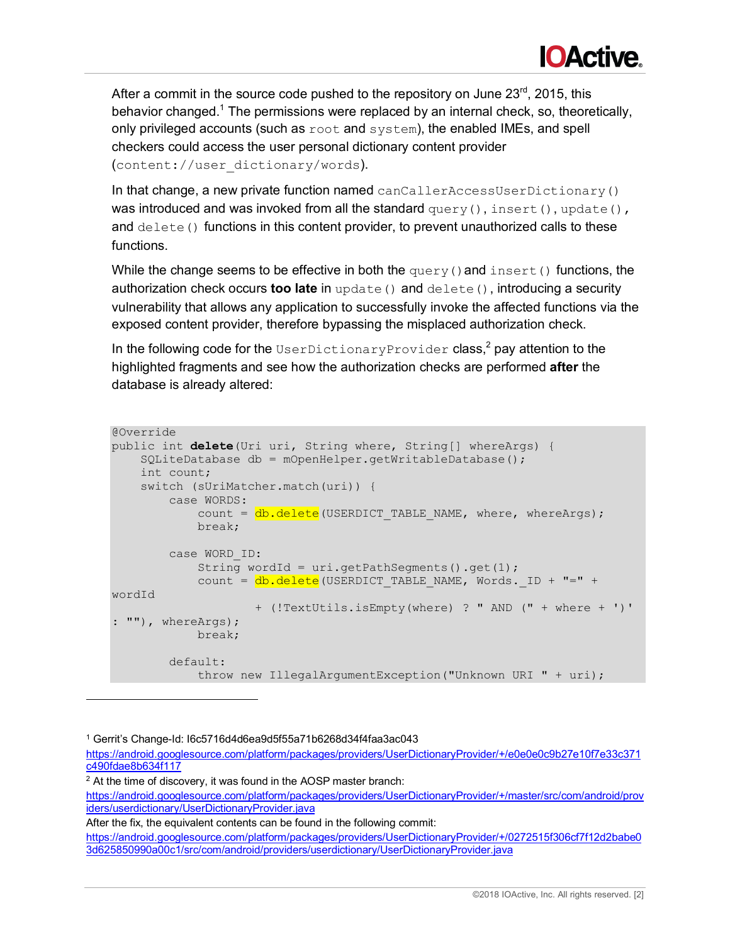

After a commit in the source code pushed to the repository on June 23rd, 2015, this behavior changed.<sup>1</sup> The permissions were replaced by an internal check, so, theoretically, only privileged accounts (such as root and system), the enabled IMEs, and spell checkers could access the user personal dictionary content provider ([content://user\\_dictionary/words](content://user_dictionary/words)).

In that change, a new private function named canCallerAccessUserDictionary() was introduced and was invoked from all the standard  $query(), insert(), update(),$ and  $\text{delete}(i)$  functions in this content provider, to prevent unauthorized calls to these functions.

While the change seems to be effective in both the  $query()$  and  $insert()$  functions, the authorization check occurs **too late** in update() and delete(), introducing a security vulnerability that allows any application to successfully invoke the affected functions via the exposed content provider, therefore bypassing the misplaced authorization check.

In the following code for the  $\texttt{UseplicationaryProvider class}, ^{2}$  pay attention to the highlighted fragments and see how the authorization checks are performed **after** the database is already altered:

```
@Override
public int delete(Uri uri, String where, String[] whereArgs) {
     SQLiteDatabase db = mOpenHelper.getWritableDatabase();
    int count;
     switch (sUriMatcher.match(uri)) {
         case WORDS:
            count = db.delete(USERDICT TABLE NAME, where, whereArgs);
             break;
         case WORD_ID:
             String wordId = uri.getPathSegments().get(1);
            count = db.delete(USERDICT_TABLE_NAME, Words. ID + "=" +
wordId
                     + (!TextUtils.isEmpty(where) ? " AND (" + where + ')' 
: ""), whereArgs);
             break;
         default:
             throw new IllegalArgumentException("Unknown URI " + uri);
```
<sup>1</sup> Gerrit's Change-Id: I6c5716d4d6ea9d5f55a71b6268d34f4faa3ac043

-

<sup>2</sup> At the time of discovery, it was found in the AOSP master branch:

<https://android.googlesource.com/platform/packages/providers/UserDictionaryProvider/+/master/src/com/android/prov> iders/userdictionary/UserDictionaryProvider.java

After the fix, the equivalent contents can be found in the following commit: <https://android.googlesource.com/platform/packages/providers/UserDictionaryProvider/+/0272515f306cf7f12d2babe0> 3d625850990a00c1/src/com/android/providers/userdictionary/UserDictionaryProvider.java

<https://android.googlesource.com/platform/packages/providers/UserDictionaryProvider/+/e0e0e0c9b27e10f7e33c371> c490fdae8b634f117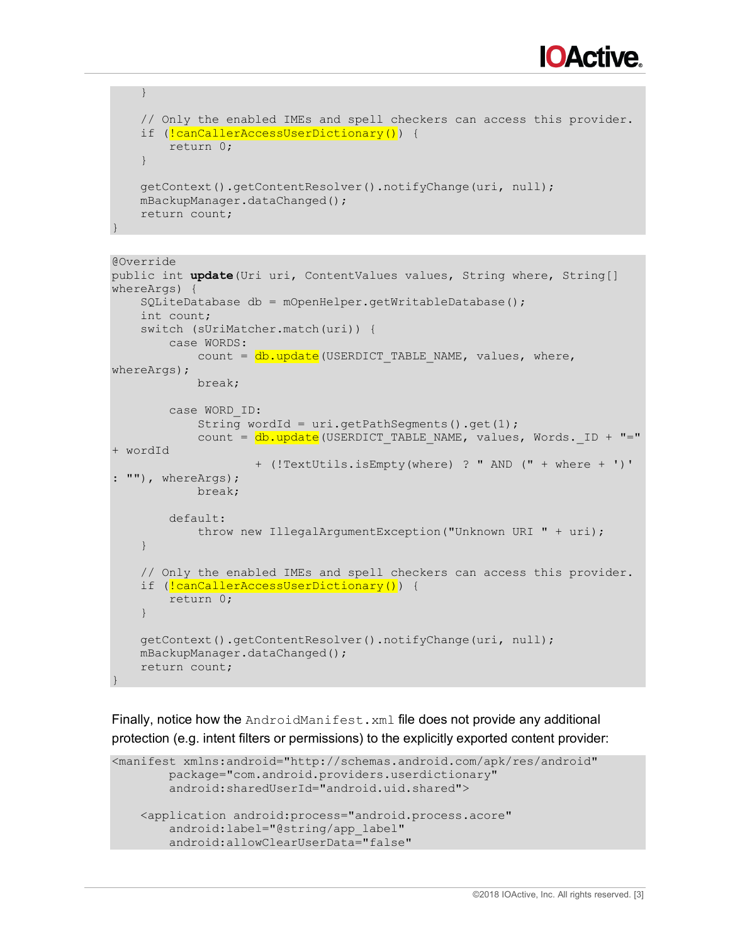

```
 }
 // Only the enabled IMEs and spell checkers can access this provider.
if (!canCallerAccessUserDictionary()) {
     return 0;
 }
 getContext().getContentResolver().notifyChange(uri, null);
 mBackupManager.dataChanged();
 return count;
```
}

```
@Override
public int update(Uri uri, ContentValues values, String where, String[] 
whereArgs) {
     SQLiteDatabase db = mOpenHelper.getWritableDatabase();
     int count;
     switch (sUriMatcher.match(uri)) {
         case WORDS:
            count = db.update (USERDICT TABLE NAME, values, where,
whereArgs);
             break;
         case WORD_ID:
             String wordId = uri.getPathSegments().get(1);
            count = db.update (USERDICT TABLE NAME, values, Words. ID + "="
+ wordId
                     + (!TextUtils.isEmpty(where) ? " AND (" + where + ')' 
: ""), whereArgs);
             break;
         default:
             throw new IllegalArgumentException("Unknown URI " + uri);
     }
     // Only the enabled IMEs and spell checkers can access this provider.
    if (!canCallerAccessUserDictionary()) {
         return 0;
 }
     getContext().getContentResolver().notifyChange(uri, null);
     mBackupManager.dataChanged();
     return count;
}
```
Finally, notice how the AndroidManifest. xml file does not provide any additional protection (e.g. intent filters or permissions) to the explicitly exported content provider:

```
<manifest xmlns:android="http://schemas.android.com/apk/res/android" 
         package="com.android.providers.userdictionary" 
         android:sharedUserId="android.uid.shared"> 
     <application android:process="android.process.acore" 
        android:label="@string/app_label"
         android:allowClearUserData="false"
```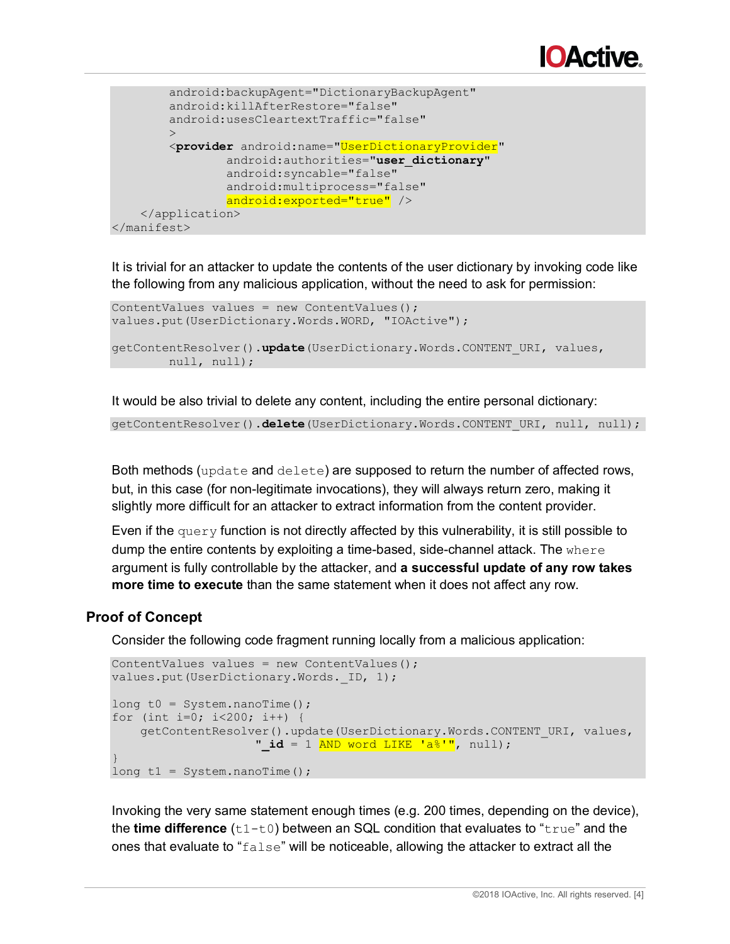

```
 android:backupAgent="DictionaryBackupAgent" 
         android:killAfterRestore="false" 
         android:usesCleartextTraffic="false" 
\rightarrow \rightarrow <provider android:name="UserDictionaryProvider"
                  android:authorities="user_dictionary" 
                  android:syncable="false"
                  android:multiprocess="false" 
                  android:exported="true" /> 
     </application> 
</manifest>
```
It is trivial for an attacker to update the contents of the user dictionary by invoking code like the following from any malicious application, without the need to ask for permission:

```
ContentValues values = new ContentValues();
values.put(UserDictionary.Words.WORD, "IOActive");
getContentResolver().update(UserDictionary.Words.CONTENT_URI, values,
        null, null);
```
It would be also trivial to delete any content, including the entire personal dictionary:

getContentResolver().delete(UserDictionary.Words.CONTENT\_URI, null, null);

Both methods (update and delete) are supposed to return the number of affected rows, but, in this case (for non-legitimate invocations), they will always return zero, making it slightly more difficult for an attacker to extract information from the content provider.

Even if the  $query$  function is not directly affected by this vulnerability, it is still possible to dump the entire contents by exploiting a time-based, side-channel attack. The where argument is fully controllable by the attacker, and **a successful update of any row takes more time to execute** than the same statement when it does not affect any row.

#### **Proof of Concept**

Consider the following code fragment running locally from a malicious application:

```
ContentValues values = new ContentValues();
values.put(UserDictionary.Words. ID, 1);
long t0 = System.nanoTime();
for (int i=0; i<200; i++) {
    getContentResolver().update(UserDictionary.Words.CONTENT_URI, values,
                   " id = 1 AND word LIKE 'a%'", null);
}
long t1 = System.name
```
Invoking the very same statement enough times (e.g. 200 times, depending on the device), the **time difference** (t1-t0) between an SQL condition that evaluates to "true" and the ones that evaluate to " $f_{\text{false}}$ " will be noticeable, allowing the attacker to extract all the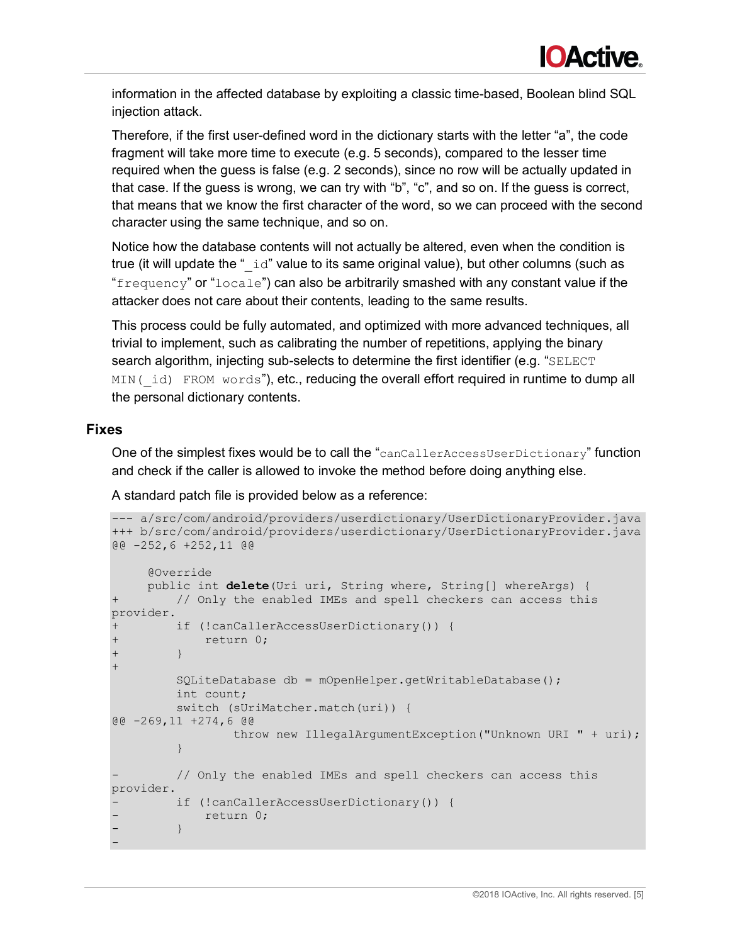

information in the affected database by exploiting a classic time-based, Boolean blind SQL injection attack.

Therefore, if the first user-defined word in the dictionary starts with the letter "a", the code fragment will take more time to execute (e.g. 5 seconds), compared to the lesser time required when the guess is false (e.g. 2 seconds), since no row will be actually updated in that case. If the guess is wrong, we can try with "b", "c", and so on. If the guess is correct, that means that we know the first character of the word, so we can proceed with the second character using the same technique, and so on.

Notice how the database contents will not actually be altered, even when the condition is true (it will update the " $\pm$ d" value to its same original value), but other columns (such as "frequency" or "locale") can also be arbitrarily smashed with any constant value if the attacker does not care about their contents, leading to the same results.

This process could be fully automated, and optimized with more advanced techniques, all trivial to implement, such as calibrating the number of repetitions, applying the binary search algorithm, injecting sub-selects to determine the first identifier (e.g. "SELECT MIN(id) FROM words"), etc., reducing the overall effort required in runtime to dump all the personal dictionary contents.

## **Fixes**

One of the simplest fixes would be to call the "canCallerAccessUserDictionary" function and check if the caller is allowed to invoke the method before doing anything else.

A standard patch file is provided below as a reference:

```
--- a/src/com/android/providers/userdictionary/UserDictionaryProvider.java
+++ b/src/com/android/providers/userdictionary/UserDictionaryProvider.java
@@ -252,6 +252,11 @@
     @Override
     public int delete(Uri uri, String where, String[] whereArgs) {
+ // Only the enabled IMEs and spell checkers can access this 
provider.
+ if (!canCallerAccessUserDictionary()) {
+ return 0;
+ }
+
         SQLiteDatabase db = mOpenHelper.getWritableDatabase();
         int count;
         switch (sUriMatcher.match(uri)) {
@@ -269,11 +274,6 @@
                 throw new IllegalArgumentException("Unknown URI " + uri);
 }
        // Only the enabled IMEs and spell checkers can access this
provider.
        if (!canCallerAccessUserDictionary()) {
           return 0;
        - }
-
```